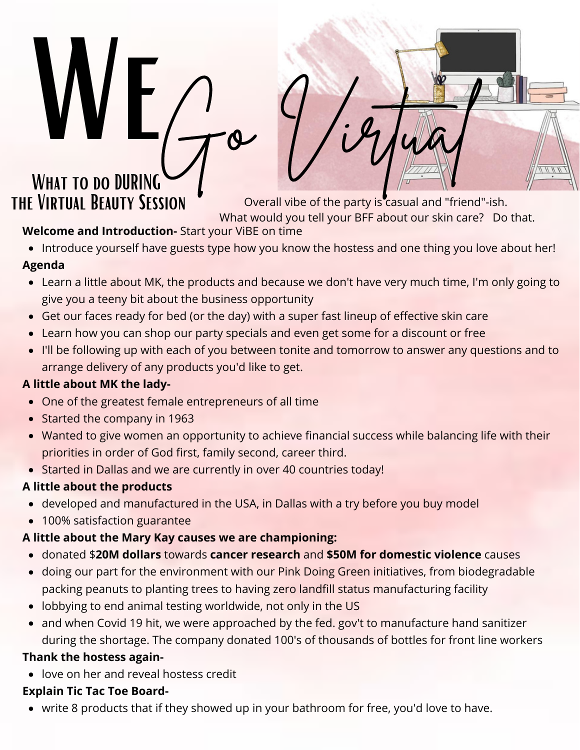# WEG- Virtual WHAT TO DO DURING<br>THE VIRTUAL BEAUTY SESSION

Overall vibe of the party is casual and "friend"-ish.

What would you tell your BFF about our skin care? Do that.

**Welcome and Introduction-** Start your ViBE on time

• Introduce yourself have guests type how you know the hostess and one thing you love about her!

### **Agenda**

- Learn a little about MK, the products and because we don't have very much time, I'm only going to give you a teeny bit about the business opportunity
- Get our faces ready for bed (or the day) with a super fast lineup of effective skin care
- Learn how you can shop our party specials and even get some for a discount or free
- I'll be following up with each of you between tonite and tomorrow to answer any questions and to arrange delivery of any products you'd like to get.

# **A little about MK the lady-**

- One of the greatest female entrepreneurs of all time
- Started the company in 1963
- Wanted to give women an opportunity to achieve financial success while balancing life with their priorities in order of God first, family second, career third.
- Started in Dallas and we are currently in over 40 countries today!

# **A little about the products**

- developed and manufactured in the USA, in Dallas with a try before you buy model
- 100% satisfaction guarantee

# **A little about the Mary Kay causes we are championing:**

- donated \$**20M dollars** towards **cancer research** and **\$50M for domestic violence** causes
- doing our part for the environment with our Pink Doing Green initiatives, from biodegradable packing peanuts to planting trees to having zero landfill status manufacturing facility
- lobbying to end animal testing worldwide, not only in the US
- and when Covid 19 hit, we were approached by the fed. gov't to manufacture hand sanitizer during the shortage. The company donated 100's of thousands of bottles for front line workers

# **Thank the hostess again-**

love on her and reveal hostess credit

# **Explain Tic Tac Toe Board-**

• write 8 products that if they showed up in your bathroom for free, you'd love to have.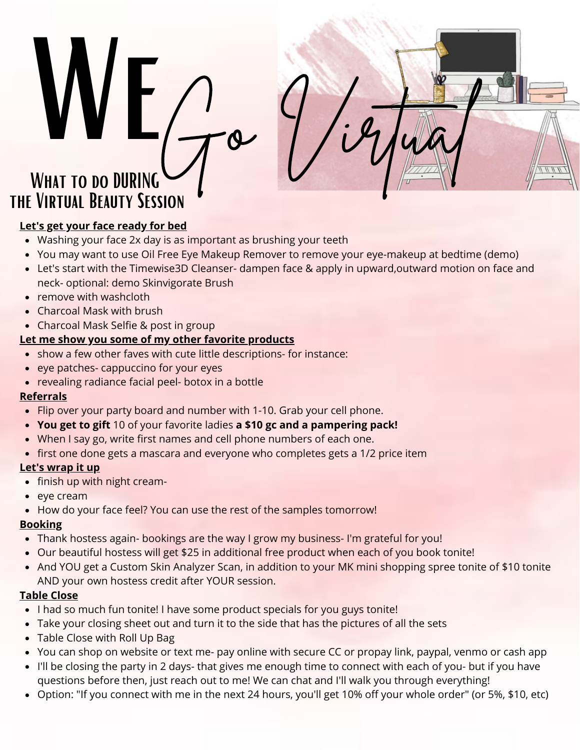# WEG- Virtual WHAT TO DO DURING the Virtual Beauty Session

#### **Let's get your face ready for bed**

- Washing your face 2x day is as important as brushing your teeth
- You may want to use Oil Free Eye Makeup Remover to remove your eye-makeup at bedtime (demo)
- Let's start with the Timewise3D Cleanser- dampen face & apply in upward,outward motion on face and neck- optional: demo Skinvigorate Brush
- remove with washcloth
- Charcoal Mask with brush
- Charcoal Mask Selfie & post in group

#### **Let me show you some of my other favorite products**

- show a few other faves with cute little descriptions- for instance:
- eye patches- cappuccino for your eyes
- revealing radiance facial peel- botox in a bottle

#### **Referrals**

- Flip over your party board and number with 1-10. Grab your cell phone.
- **You get to gift** 10 of your favorite ladies **a \$10 gc and a pampering pack!**
- When I say go, write first names and cell phone numbers of each one.
- first one done gets a mascara and everyone who completes gets a 1/2 price item

#### **Let's wrap it up**

- finish up with night cream-
- eye cream
- How do your face feel? You can use the rest of the samples tomorrow!

#### **Booking**

- Thank hostess again- bookings are the way I grow my business- I'm grateful for you!
- Our beautiful hostess will get \$25 in additional free product when each of you book tonite!
- And YOU get a Custom Skin Analyzer Scan, in addition to your MK mini shopping spree tonite of \$10 tonite AND your own hostess credit after YOUR session.

#### **Table Close**

- I had so much fun tonite! I have some product specials for you guys tonite!
- Take your closing sheet out and turn it to the side that has the pictures of all the sets
- Table Close with Roll Up Bag
- You can shop on website or text me- pay online with secure CC or propay link, paypal, venmo or cash app
- I'll be closing the party in 2 days- that gives me enough time to connect with each of you- but if you have questions before then, just reach out to me! We can chat and I'll walk you through everything!
- Option: "If you connect with me in the next 24 hours, you'll get 10% off your whole order" (or 5%, \$10, etc)